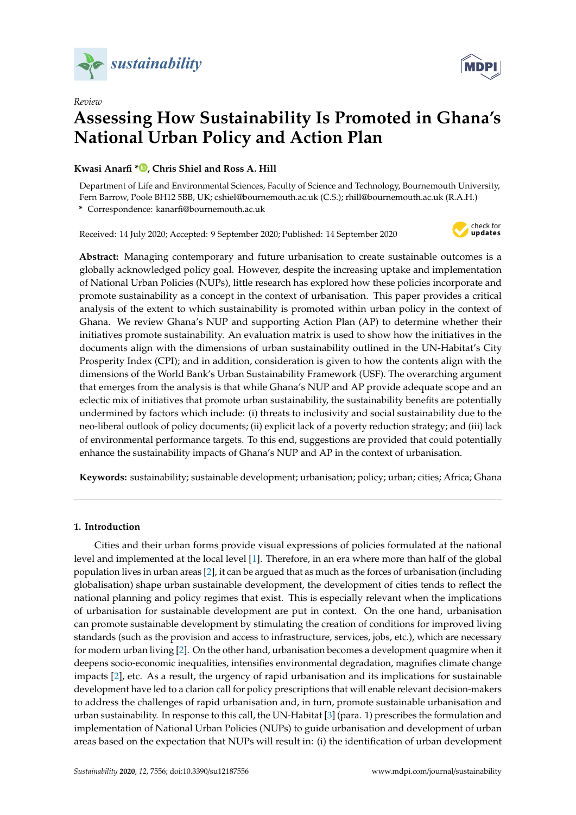

*Review*

# **Assessing How Sustainability Is Promoted in Ghana's National Urban Policy and Action Plan**

# **Kwasi Anarfi [\\*](https://orcid.org/0000-0001-7771-1124) , Chris Shiel and Ross A. Hill**

Department of Life and Environmental Sciences, Faculty of Science and Technology, Bournemouth University, Fern Barrow, Poole BH12 5BB, UK; cshiel@bournemouth.ac.uk (C.S.); rhill@bournemouth.ac.uk (R.A.H.)

**\*** Correspondence: kanarfi@bournemouth.ac.uk

Received: 14 July 2020; Accepted: 9 September 2020; Published: 14 September 2020



**MDPI** 

**Abstract:** Managing contemporary and future urbanisation to create sustainable outcomes is a globally acknowledged policy goal. However, despite the increasing uptake and implementation of National Urban Policies (NUPs), little research has explored how these policies incorporate and promote sustainability as a concept in the context of urbanisation. This paper provides a critical analysis of the extent to which sustainability is promoted within urban policy in the context of Ghana. We review Ghana's NUP and supporting Action Plan (AP) to determine whether their initiatives promote sustainability. An evaluation matrix is used to show how the initiatives in the documents align with the dimensions of urban sustainability outlined in the UN-Habitat's City Prosperity Index (CPI); and in addition, consideration is given to how the contents align with the dimensions of the World Bank's Urban Sustainability Framework (USF). The overarching argument that emerges from the analysis is that while Ghana's NUP and AP provide adequate scope and an eclectic mix of initiatives that promote urban sustainability, the sustainability benefits are potentially undermined by factors which include: (i) threats to inclusivity and social sustainability due to the neo-liberal outlook of policy documents; (ii) explicit lack of a poverty reduction strategy; and (iii) lack of environmental performance targets. To this end, suggestions are provided that could potentially enhance the sustainability impacts of Ghana's NUP and AP in the context of urbanisation.

**Keywords:** sustainability; sustainable development; urbanisation; policy; urban; cities; Africa; Ghana

# **1. Introduction**

Cities and their urban forms provide visual expressions of policies formulated at the national level and implemented at the local level [\[1\]](#page-12-0). Therefore, in an era where more than half of the global population lives in urban areas [\[2\]](#page-12-1), it can be argued that as much as the forces of urbanisation (including globalisation) shape urban sustainable development, the development of cities tends to reflect the national planning and policy regimes that exist. This is especially relevant when the implications of urbanisation for sustainable development are put in context. On the one hand, urbanisation can promote sustainable development by stimulating the creation of conditions for improved living standards (such as the provision and access to infrastructure, services, jobs, etc.), which are necessary for modern urban living [\[2\]](#page-12-1). On the other hand, urbanisation becomes a development quagmire when it deepens socio-economic inequalities, intensifies environmental degradation, magnifies climate change impacts [\[2\]](#page-12-1), etc. As a result, the urgency of rapid urbanisation and its implications for sustainable development have led to a clarion call for policy prescriptions that will enable relevant decision-makers to address the challenges of rapid urbanisation and, in turn, promote sustainable urbanisation and urban sustainability. In response to this call, the UN-Habitat [\[3\]](#page-12-2) (para. 1) prescribes the formulation and implementation of National Urban Policies (NUPs) to guide urbanisation and development of urban areas based on the expectation that NUPs will result in: (i) the identification of urban development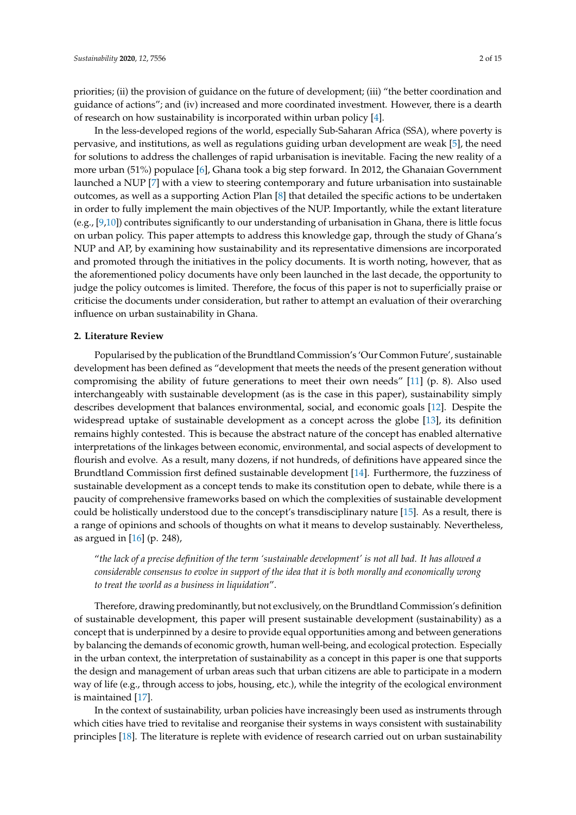priorities; (ii) the provision of guidance on the future of development; (iii) "the better coordination and guidance of actions"; and (iv) increased and more coordinated investment. However, there is a dearth of research on how sustainability is incorporated within urban policy [\[4\]](#page-12-3).

In the less-developed regions of the world, especially Sub-Saharan Africa (SSA), where poverty is pervasive, and institutions, as well as regulations guiding urban development are weak [\[5\]](#page-12-4), the need for solutions to address the challenges of rapid urbanisation is inevitable. Facing the new reality of a more urban (51%) populace [\[6\]](#page-12-5), Ghana took a big step forward. In 2012, the Ghanaian Government launched a NUP [\[7\]](#page-12-6) with a view to steering contemporary and future urbanisation into sustainable outcomes, as well as a supporting Action Plan [\[8\]](#page-12-7) that detailed the specific actions to be undertaken in order to fully implement the main objectives of the NUP. Importantly, while the extant literature (e.g., [\[9](#page-12-8)[,10\]](#page-12-9)) contributes significantly to our understanding of urbanisation in Ghana, there is little focus on urban policy. This paper attempts to address this knowledge gap, through the study of Ghana's NUP and AP, by examining how sustainability and its representative dimensions are incorporated and promoted through the initiatives in the policy documents. It is worth noting, however, that as the aforementioned policy documents have only been launched in the last decade, the opportunity to judge the policy outcomes is limited. Therefore, the focus of this paper is not to superficially praise or criticise the documents under consideration, but rather to attempt an evaluation of their overarching influence on urban sustainability in Ghana.

#### **2. Literature Review**

Popularised by the publication of the Brundtland Commission's 'Our Common Future', sustainable development has been defined as "development that meets the needs of the present generation without compromising the ability of future generations to meet their own needs" [\[11\]](#page-12-10) (p. 8). Also used interchangeably with sustainable development (as is the case in this paper), sustainability simply describes development that balances environmental, social, and economic goals [\[12\]](#page-12-11). Despite the widespread uptake of sustainable development as a concept across the globe [\[13\]](#page-12-12), its definition remains highly contested. This is because the abstract nature of the concept has enabled alternative interpretations of the linkages between economic, environmental, and social aspects of development to flourish and evolve. As a result, many dozens, if not hundreds, of definitions have appeared since the Brundtland Commission first defined sustainable development [\[14\]](#page-12-13). Furthermore, the fuzziness of sustainable development as a concept tends to make its constitution open to debate, while there is a paucity of comprehensive frameworks based on which the complexities of sustainable development could be holistically understood due to the concept's transdisciplinary nature [\[15\]](#page-12-14). As a result, there is a range of opinions and schools of thoughts on what it means to develop sustainably. Nevertheless, as argued in [\[16\]](#page-12-15) (p. 248),

"*the lack of a precise definition of the term 'sustainable development' is not all bad. It has allowed a considerable consensus to evolve in support of the idea that it is both morally and economically wrong to treat the world as a business in liquidation*".

Therefore, drawing predominantly, but not exclusively, on the Brundtland Commission's definition of sustainable development, this paper will present sustainable development (sustainability) as a concept that is underpinned by a desire to provide equal opportunities among and between generations by balancing the demands of economic growth, human well-being, and ecological protection. Especially in the urban context, the interpretation of sustainability as a concept in this paper is one that supports the design and management of urban areas such that urban citizens are able to participate in a modern way of life (e.g., through access to jobs, housing, etc.), while the integrity of the ecological environment is maintained [\[17\]](#page-12-16).

In the context of sustainability, urban policies have increasingly been used as instruments through which cities have tried to revitalise and reorganise their systems in ways consistent with sustainability principles [\[18\]](#page-12-17). The literature is replete with evidence of research carried out on urban sustainability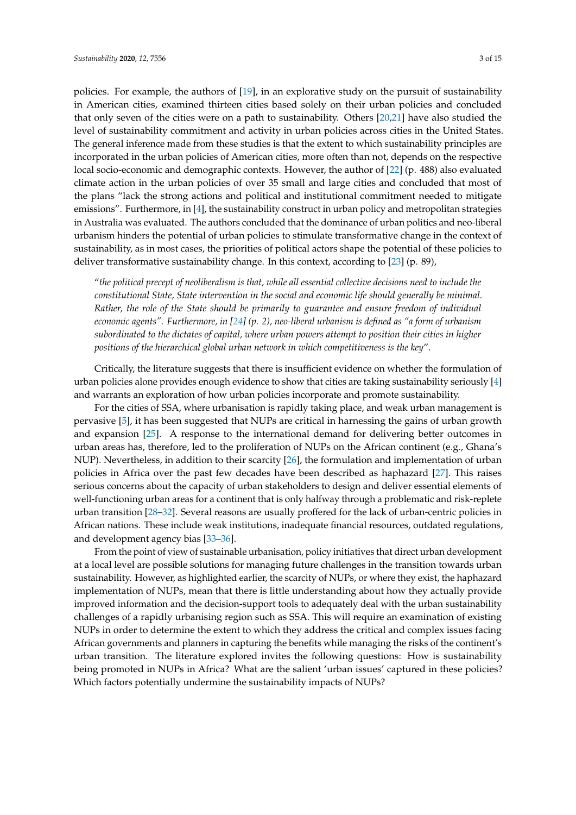policies. For example, the authors of [\[19\]](#page-12-18), in an explorative study on the pursuit of sustainability in American cities, examined thirteen cities based solely on their urban policies and concluded that only seven of the cities were on a path to sustainability. Others [\[20,](#page-12-19)[21\]](#page-12-20) have also studied the level of sustainability commitment and activity in urban policies across cities in the United States. The general inference made from these studies is that the extent to which sustainability principles are incorporated in the urban policies of American cities, more often than not, depends on the respective local socio-economic and demographic contexts. However, the author of [\[22\]](#page-13-0) (p. 488) also evaluated climate action in the urban policies of over 35 small and large cities and concluded that most of

the plans "lack the strong actions and political and institutional commitment needed to mitigate emissions". Furthermore, in [\[4\]](#page-12-3), the sustainability construct in urban policy and metropolitan strategies in Australia was evaluated. The authors concluded that the dominance of urban politics and neo-liberal urbanism hinders the potential of urban policies to stimulate transformative change in the context of sustainability, as in most cases, the priorities of political actors shape the potential of these policies to deliver transformative sustainability change. In this context, according to [\[23\]](#page-13-1) (p. 89),

"*the political precept of neoliberalism is that, while all essential collective decisions need to include the constitutional State, State intervention in the social and economic life should generally be minimal. Rather, the role of the State should be primarily to guarantee and ensure freedom of individual economic agents". Furthermore, in [\[24\]](#page-13-2) (p. 2), neo-liberal urbanism is defined as "a form of urbanism subordinated to the dictates of capital, where urban powers attempt to position their cities in higher positions of the hierarchical global urban network in which competitiveness is the key*".

Critically, the literature suggests that there is insufficient evidence on whether the formulation of urban policies alone provides enough evidence to show that cities are taking sustainability seriously [\[4\]](#page-12-3) and warrants an exploration of how urban policies incorporate and promote sustainability.

For the cities of SSA, where urbanisation is rapidly taking place, and weak urban management is pervasive [\[5\]](#page-12-4), it has been suggested that NUPs are critical in harnessing the gains of urban growth and expansion [\[25\]](#page-13-3). A response to the international demand for delivering better outcomes in urban areas has, therefore, led to the proliferation of NUPs on the African continent (e.g., Ghana's NUP). Nevertheless, in addition to their scarcity [\[26\]](#page-13-4), the formulation and implementation of urban policies in Africa over the past few decades have been described as haphazard [\[27\]](#page-13-5). This raises serious concerns about the capacity of urban stakeholders to design and deliver essential elements of well-functioning urban areas for a continent that is only halfway through a problematic and risk-replete urban transition [\[28–](#page-13-6)[32\]](#page-13-7). Several reasons are usually proffered for the lack of urban-centric policies in African nations. These include weak institutions, inadequate financial resources, outdated regulations, and development agency bias [\[33](#page-13-8)[–36\]](#page-13-9).

From the point of view of sustainable urbanisation, policy initiatives that direct urban development at a local level are possible solutions for managing future challenges in the transition towards urban sustainability. However, as highlighted earlier, the scarcity of NUPs, or where they exist, the haphazard implementation of NUPs, mean that there is little understanding about how they actually provide improved information and the decision-support tools to adequately deal with the urban sustainability challenges of a rapidly urbanising region such as SSA. This will require an examination of existing NUPs in order to determine the extent to which they address the critical and complex issues facing African governments and planners in capturing the benefits while managing the risks of the continent's urban transition. The literature explored invites the following questions: How is sustainability being promoted in NUPs in Africa? What are the salient 'urban issues' captured in these policies? Which factors potentially undermine the sustainability impacts of NUPs?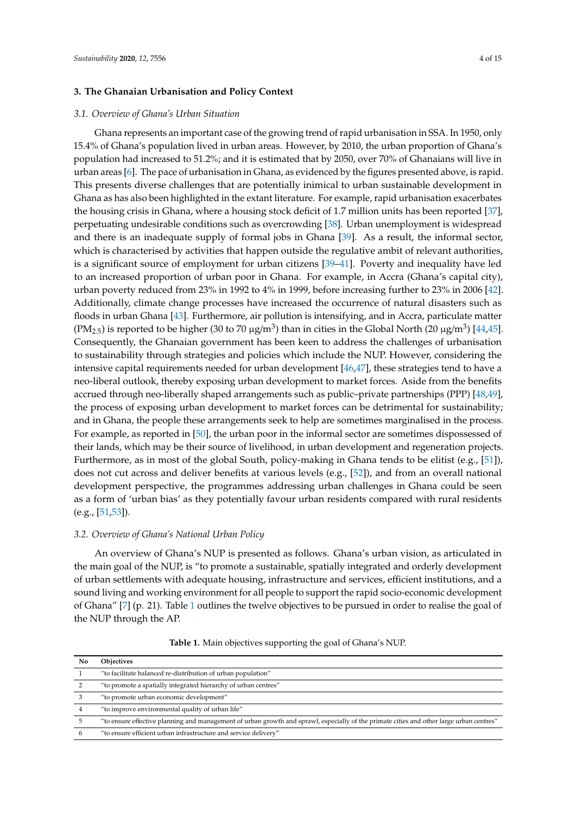## **3. The Ghanaian Urbanisation and Policy Context**

#### <span id="page-3-1"></span>*3.1. Overview of Ghana's Urban Situation*

Ghana represents an important case of the growing trend of rapid urbanisation in SSA. In 1950, only 15.4% of Ghana's population lived in urban areas. However, by 2010, the urban proportion of Ghana's population had increased to 51.2%; and it is estimated that by 2050, over 70% of Ghanaians will live in urban areas [\[6\]](#page-12-5). The pace of urbanisation in Ghana, as evidenced by the figures presented above, is rapid. This presents diverse challenges that are potentially inimical to urban sustainable development in Ghana as has also been highlighted in the extant literature. For example, rapid urbanisation exacerbates the housing crisis in Ghana, where a housing stock deficit of 1.7 million units has been reported [\[37\]](#page-13-10), perpetuating undesirable conditions such as overcrowding [\[38\]](#page-13-11). Urban unemployment is widespread and there is an inadequate supply of formal jobs in Ghana [\[39\]](#page-13-12). As a result, the informal sector, which is characterised by activities that happen outside the regulative ambit of relevant authorities, is a significant source of employment for urban citizens [\[39](#page-13-12)[–41\]](#page-13-13). Poverty and inequality have led to an increased proportion of urban poor in Ghana. For example, in Accra (Ghana's capital city), urban poverty reduced from 23% in 1992 to 4% in 1999, before increasing further to 23% in 2006 [\[42\]](#page-13-14). Additionally, climate change processes have increased the occurrence of natural disasters such as floods in urban Ghana [\[43\]](#page-13-15). Furthermore, air pollution is intensifying, and in Accra, particulate matter (PM<sub>2.5</sub>) is reported to be higher (30 to 70  $\mu$ g/m $^3$ ) than in cities in the Global North (20  $\mu$ g/m $^3$ ) [\[44,](#page-13-16)[45\]](#page-13-17). Consequently, the Ghanaian government has been keen to address the challenges of urbanisation to sustainability through strategies and policies which include the NUP. However, considering the intensive capital requirements needed for urban development [\[46,](#page-13-18)[47\]](#page-14-0), these strategies tend to have a neo-liberal outlook, thereby exposing urban development to market forces. Aside from the benefits accrued through neo-liberally shaped arrangements such as public–private partnerships (PPP) [\[48](#page-14-1)[,49\]](#page-14-2), the process of exposing urban development to market forces can be detrimental for sustainability; and in Ghana, the people these arrangements seek to help are sometimes marginalised in the process. For example, as reported in [\[50\]](#page-14-3), the urban poor in the informal sector are sometimes dispossessed of their lands, which may be their source of livelihood, in urban development and regeneration projects. Furthermore, as in most of the global South, policy-making in Ghana tends to be elitist (e.g., [\[51\]](#page-14-4)), does not cut across and deliver benefits at various levels (e.g., [\[52\]](#page-14-5)), and from an overall national development perspective, the programmes addressing urban challenges in Ghana could be seen as a form of 'urban bias' as they potentially favour urban residents compared with rural residents (e.g., [\[51,](#page-14-4)[53\]](#page-14-6)).

#### *3.2. Overview of Ghana's National Urban Policy*

An overview of Ghana's NUP is presented as follows. Ghana's urban vision, as articulated in the main goal of the NUP, is "to promote a sustainable, spatially integrated and orderly development of urban settlements with adequate housing, infrastructure and services, efficient institutions, and a sound living and working environment for all people to support the rapid socio-economic development of Ghana" [\[7\]](#page-12-6) (p. 21). Table [1](#page-3-0) outlines the twelve objectives to be pursued in order to realise the goal of the NUP through the AP.

<span id="page-3-0"></span>

| No | <b>Objectives</b>                                                                                                                        |
|----|------------------------------------------------------------------------------------------------------------------------------------------|
|    | "to facilitate balanced re-distribution of urban population"                                                                             |
|    | "to promote a spatially integrated hierarchy of urban centres"                                                                           |
|    | "to promote urban economic development"                                                                                                  |
|    | "to improve environmental quality of urban life"                                                                                         |
|    | "to ensure effective planning and management of urban growth and sprawl, especially of the primate cities and other large urban centres" |
|    | "to ensure efficient urban infrastructure and service delivery"                                                                          |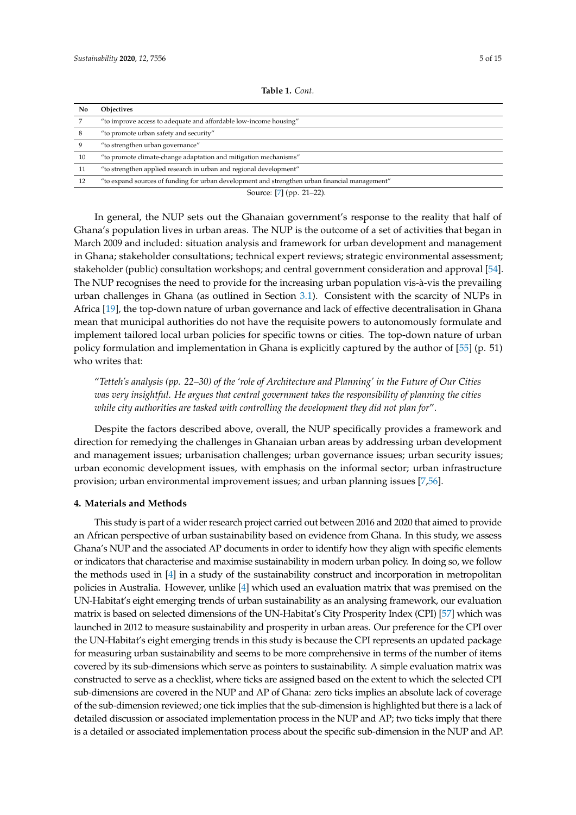| No | <b>Objectives</b>                                                                              |
|----|------------------------------------------------------------------------------------------------|
|    | "to improve access to adequate and affordable low-income housing"                              |
|    | "to promote urban safety and security"                                                         |
|    | "to strengthen urban governance"                                                               |
| 10 | "to promote climate-change adaptation and mitigation mechanisms"                               |
|    | "to strengthen applied research in urban and regional development"                             |
| 12 | "to expand sources of funding for urban development and strengthen urban financial management" |

**Table 1.** *Cont.*

Source: [\[7\]](#page-12-6) (pp. 21–22).

In general, the NUP sets out the Ghanaian government's response to the reality that half of Ghana's population lives in urban areas. The NUP is the outcome of a set of activities that began in March 2009 and included: situation analysis and framework for urban development and management in Ghana; stakeholder consultations; technical expert reviews; strategic environmental assessment; stakeholder (public) consultation workshops; and central government consideration and approval [\[54\]](#page-14-7). The NUP recognises the need to provide for the increasing urban population vis-à-vis the prevailing urban challenges in Ghana (as outlined in Section [3.1\)](#page-3-1). Consistent with the scarcity of NUPs in Africa [\[19\]](#page-12-18), the top-down nature of urban governance and lack of effective decentralisation in Ghana mean that municipal authorities do not have the requisite powers to autonomously formulate and implement tailored local urban policies for specific towns or cities. The top-down nature of urban policy formulation and implementation in Ghana is explicitly captured by the author of [\[55\]](#page-14-8) (p. 51) who writes that:

"*Tetteh's analysis (pp. 22–30) of the 'role of Architecture and Planning' in the Future of Our Cities was very insightful. He argues that central government takes the responsibility of planning the cities while city authorities are tasked with controlling the development they did not plan for*".

Despite the factors described above, overall, the NUP specifically provides a framework and direction for remedying the challenges in Ghanaian urban areas by addressing urban development and management issues; urbanisation challenges; urban governance issues; urban security issues; urban economic development issues, with emphasis on the informal sector; urban infrastructure provision; urban environmental improvement issues; and urban planning issues [\[7](#page-12-6)[,56\]](#page-14-9).

#### **4. Materials and Methods**

This study is part of a wider research project carried out between 2016 and 2020 that aimed to provide an African perspective of urban sustainability based on evidence from Ghana. In this study, we assess Ghana's NUP and the associated AP documents in order to identify how they align with specific elements or indicators that characterise and maximise sustainability in modern urban policy. In doing so, we follow the methods used in [\[4\]](#page-12-3) in a study of the sustainability construct and incorporation in metropolitan policies in Australia. However, unlike [\[4\]](#page-12-3) which used an evaluation matrix that was premised on the UN-Habitat's eight emerging trends of urban sustainability as an analysing framework, our evaluation matrix is based on selected dimensions of the UN-Habitat's City Prosperity Index (CPI) [\[57\]](#page-14-10) which was launched in 2012 to measure sustainability and prosperity in urban areas. Our preference for the CPI over the UN-Habitat's eight emerging trends in this study is because the CPI represents an updated package for measuring urban sustainability and seems to be more comprehensive in terms of the number of items covered by its sub-dimensions which serve as pointers to sustainability. A simple evaluation matrix was constructed to serve as a checklist, where ticks are assigned based on the extent to which the selected CPI sub-dimensions are covered in the NUP and AP of Ghana: zero ticks implies an absolute lack of coverage of the sub-dimension reviewed; one tick implies that the sub-dimension is highlighted but there is a lack of detailed discussion or associated implementation process in the NUP and AP; two ticks imply that there is a detailed or associated implementation process about the specific sub-dimension in the NUP and AP.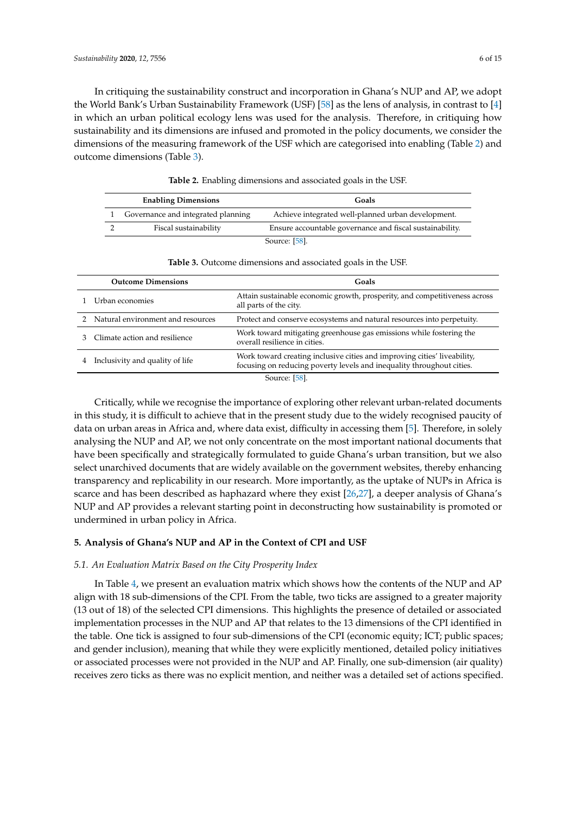In critiquing the sustainability construct and incorporation in Ghana's NUP and AP, we adopt the World Bank's Urban Sustainability Framework (USF) [\[58\]](#page-14-11) as the lens of analysis, in contrast to [\[4\]](#page-12-3) in which an urban political ecology lens was used for the analysis. Therefore, in critiquing how sustainability and its dimensions are infused and promoted in the policy documents, we consider the dimensions of the measuring framework of the USF which are categorised into enabling (Table [2\)](#page-5-0) and outcome dimensions (Table [3\)](#page-5-1).

<span id="page-5-0"></span>

|               | <b>Enabling Dimensions</b>         | Goals                                                    |
|---------------|------------------------------------|----------------------------------------------------------|
|               | Governance and integrated planning | Achieve integrated well-planned urban development.       |
|               | Fiscal sustainability              | Ensure accountable governance and fiscal sustainability. |
| Source: [58]. |                                    |                                                          |

| Table 2. Enabling dimensions and associated goals in the USF. |  |  |  |  |  |
|---------------------------------------------------------------|--|--|--|--|--|
|---------------------------------------------------------------|--|--|--|--|--|

<span id="page-5-1"></span>

| <b>Outcome Dimensions</b>            | Goals                                                                                                                                             |  |
|--------------------------------------|---------------------------------------------------------------------------------------------------------------------------------------------------|--|
| Urban economies                      | Attain sustainable economic growth, prosperity, and competitiveness across<br>all parts of the city.                                              |  |
| Natural environment and resources    | Protect and conserve ecosystems and natural resources into perpetuity.                                                                            |  |
| Climate action and resilience<br>З   | Work toward mitigating greenhouse gas emissions while fostering the<br>overall resilience in cities.                                              |  |
| Inclusivity and quality of life<br>4 | Work toward creating inclusive cities and improving cities' liveability,<br>focusing on reducing poverty levels and inequality throughout cities. |  |
| Source: [58].                        |                                                                                                                                                   |  |

**Table 3.** Outcome dimensions and associated goals in the USF.

Critically, while we recognise the importance of exploring other relevant urban-related documents in this study, it is difficult to achieve that in the present study due to the widely recognised paucity of data on urban areas in Africa and, where data exist, difficulty in accessing them [\[5\]](#page-12-4). Therefore, in solely analysing the NUP and AP, we not only concentrate on the most important national documents that have been specifically and strategically formulated to guide Ghana's urban transition, but we also select unarchived documents that are widely available on the government websites, thereby enhancing transparency and replicability in our research. More importantly, as the uptake of NUPs in Africa is scarce and has been described as haphazard where they exist [\[26](#page-13-4)[,27\]](#page-13-5), a deeper analysis of Ghana's NUP and AP provides a relevant starting point in deconstructing how sustainability is promoted or undermined in urban policy in Africa.

## **5. Analysis of Ghana's NUP and AP in the Context of CPI and USF**

## <span id="page-5-2"></span>*5.1. An Evaluation Matrix Based on the City Prosperity Index*

In Table [4,](#page-6-0) we present an evaluation matrix which shows how the contents of the NUP and AP align with 18 sub-dimensions of the CPI. From the table, two ticks are assigned to a greater majority (13 out of 18) of the selected CPI dimensions. This highlights the presence of detailed or associated implementation processes in the NUP and AP that relates to the 13 dimensions of the CPI identified in the table. One tick is assigned to four sub-dimensions of the CPI (economic equity; ICT; public spaces; and gender inclusion), meaning that while they were explicitly mentioned, detailed policy initiatives or associated processes were not provided in the NUP and AP. Finally, one sub-dimension (air quality) receives zero ticks as there was no explicit mention, and neither was a detailed set of actions specified.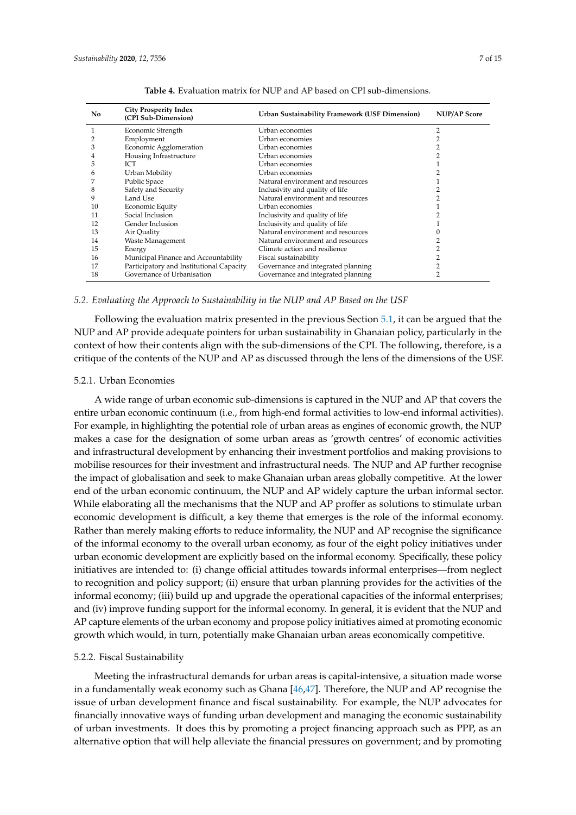<span id="page-6-0"></span>

| No. | <b>City Prosperity Index</b><br>(CPI Sub-Dimension) | Urban Sustainability Framework (USF Dimension) | <b>NUP/AP Score</b> |
|-----|-----------------------------------------------------|------------------------------------------------|---------------------|
|     | Economic Strength                                   | Urban economies                                | $\overline{2}$      |
|     | Employment                                          | Urban economies                                |                     |
| 3   | Economic Agglomeration                              | Urban economies                                |                     |
|     | Housing Infrastructure                              | Urban economies                                |                     |
| 5   | ICT                                                 | Urban economies                                |                     |
| b   | Urban Mobility                                      | Urban economies                                |                     |
|     | Public Space                                        | Natural environment and resources              |                     |
| 8   | Safety and Security                                 | Inclusivity and quality of life                |                     |
| 9   | Land Use                                            | Natural environment and resources              |                     |
| 10  | Economic Equity                                     | Urban economies                                |                     |
| 11  | Social Inclusion                                    | Inclusivity and quality of life                |                     |
| 12  | Gender Inclusion                                    | Inclusivity and quality of life                |                     |
| 13  | Air Quality                                         | Natural environment and resources              |                     |
| 14  | Waste Management                                    | Natural environment and resources              |                     |
| 15  | Energy                                              | Climate action and resilience                  |                     |
| 16  | Municipal Finance and Accountability                | Fiscal sustainability                          |                     |
| 17  | Participatory and Institutional Capacity            | Governance and integrated planning             |                     |
| 18  | Governance of Urbanisation                          | Governance and integrated planning             |                     |

**Table 4.** Evaluation matrix for NUP and AP based on CPI sub-dimensions.

## *5.2. Evaluating the Approach to Sustainability in the NUP and AP Based on the USF*

Following the evaluation matrix presented in the previous Section [5.1,](#page-5-2) it can be argued that the NUP and AP provide adequate pointers for urban sustainability in Ghanaian policy, particularly in the context of how their contents align with the sub-dimensions of the CPI. The following, therefore, is a critique of the contents of the NUP and AP as discussed through the lens of the dimensions of the USF.

#### 5.2.1. Urban Economies

A wide range of urban economic sub-dimensions is captured in the NUP and AP that covers the entire urban economic continuum (i.e., from high-end formal activities to low-end informal activities). For example, in highlighting the potential role of urban areas as engines of economic growth, the NUP makes a case for the designation of some urban areas as 'growth centres' of economic activities and infrastructural development by enhancing their investment portfolios and making provisions to mobilise resources for their investment and infrastructural needs. The NUP and AP further recognise the impact of globalisation and seek to make Ghanaian urban areas globally competitive. At the lower end of the urban economic continuum, the NUP and AP widely capture the urban informal sector. While elaborating all the mechanisms that the NUP and AP proffer as solutions to stimulate urban economic development is difficult, a key theme that emerges is the role of the informal economy. Rather than merely making efforts to reduce informality, the NUP and AP recognise the significance of the informal economy to the overall urban economy, as four of the eight policy initiatives under urban economic development are explicitly based on the informal economy. Specifically, these policy initiatives are intended to: (i) change official attitudes towards informal enterprises—from neglect to recognition and policy support; (ii) ensure that urban planning provides for the activities of the informal economy; (iii) build up and upgrade the operational capacities of the informal enterprises; and (iv) improve funding support for the informal economy. In general, it is evident that the NUP and AP capture elements of the urban economy and propose policy initiatives aimed at promoting economic growth which would, in turn, potentially make Ghanaian urban areas economically competitive.

#### 5.2.2. Fiscal Sustainability

Meeting the infrastructural demands for urban areas is capital-intensive, a situation made worse in a fundamentally weak economy such as Ghana [\[46](#page-13-18)[,47\]](#page-14-0). Therefore, the NUP and AP recognise the issue of urban development finance and fiscal sustainability. For example, the NUP advocates for financially innovative ways of funding urban development and managing the economic sustainability of urban investments. It does this by promoting a project financing approach such as PPP, as an alternative option that will help alleviate the financial pressures on government; and by promoting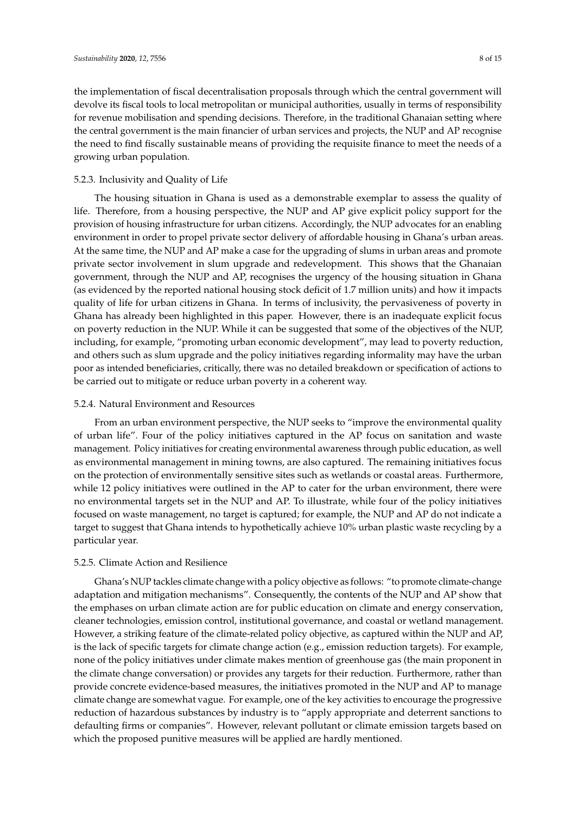the implementation of fiscal decentralisation proposals through which the central government will devolve its fiscal tools to local metropolitan or municipal authorities, usually in terms of responsibility for revenue mobilisation and spending decisions. Therefore, in the traditional Ghanaian setting where the central government is the main financier of urban services and projects, the NUP and AP recognise the need to find fiscally sustainable means of providing the requisite finance to meet the needs of a growing urban population.

## 5.2.3. Inclusivity and Quality of Life

The housing situation in Ghana is used as a demonstrable exemplar to assess the quality of life. Therefore, from a housing perspective, the NUP and AP give explicit policy support for the provision of housing infrastructure for urban citizens. Accordingly, the NUP advocates for an enabling environment in order to propel private sector delivery of affordable housing in Ghana's urban areas. At the same time, the NUP and AP make a case for the upgrading of slums in urban areas and promote private sector involvement in slum upgrade and redevelopment. This shows that the Ghanaian government, through the NUP and AP, recognises the urgency of the housing situation in Ghana (as evidenced by the reported national housing stock deficit of 1.7 million units) and how it impacts quality of life for urban citizens in Ghana. In terms of inclusivity, the pervasiveness of poverty in Ghana has already been highlighted in this paper. However, there is an inadequate explicit focus on poverty reduction in the NUP. While it can be suggested that some of the objectives of the NUP, including, for example, "promoting urban economic development", may lead to poverty reduction, and others such as slum upgrade and the policy initiatives regarding informality may have the urban poor as intended beneficiaries, critically, there was no detailed breakdown or specification of actions to be carried out to mitigate or reduce urban poverty in a coherent way.

## 5.2.4. Natural Environment and Resources

From an urban environment perspective, the NUP seeks to "improve the environmental quality of urban life". Four of the policy initiatives captured in the AP focus on sanitation and waste management. Policy initiatives for creating environmental awareness through public education, as well as environmental management in mining towns, are also captured. The remaining initiatives focus on the protection of environmentally sensitive sites such as wetlands or coastal areas. Furthermore, while 12 policy initiatives were outlined in the AP to cater for the urban environment, there were no environmental targets set in the NUP and AP. To illustrate, while four of the policy initiatives focused on waste management, no target is captured; for example, the NUP and AP do not indicate a target to suggest that Ghana intends to hypothetically achieve 10% urban plastic waste recycling by a particular year.

## 5.2.5. Climate Action and Resilience

Ghana's NUP tackles climate change with a policy objective as follows: "to promote climate-change adaptation and mitigation mechanisms". Consequently, the contents of the NUP and AP show that the emphases on urban climate action are for public education on climate and energy conservation, cleaner technologies, emission control, institutional governance, and coastal or wetland management. However, a striking feature of the climate-related policy objective, as captured within the NUP and AP, is the lack of specific targets for climate change action (e.g., emission reduction targets). For example, none of the policy initiatives under climate makes mention of greenhouse gas (the main proponent in the climate change conversation) or provides any targets for their reduction. Furthermore, rather than provide concrete evidence-based measures, the initiatives promoted in the NUP and AP to manage climate change are somewhat vague. For example, one of the key activities to encourage the progressive reduction of hazardous substances by industry is to "apply appropriate and deterrent sanctions to defaulting firms or companies". However, relevant pollutant or climate emission targets based on which the proposed punitive measures will be applied are hardly mentioned.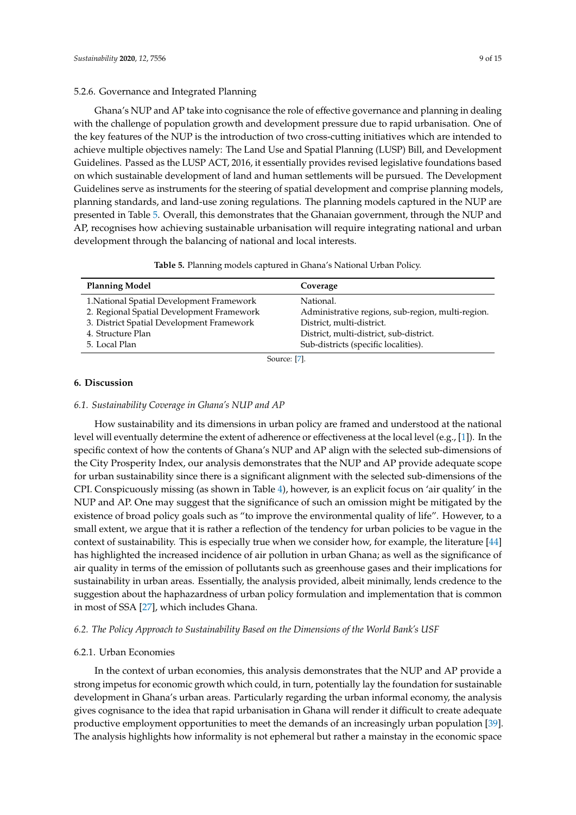## 5.2.6. Governance and Integrated Planning

Ghana's NUP and AP take into cognisance the role of effective governance and planning in dealing with the challenge of population growth and development pressure due to rapid urbanisation. One of the key features of the NUP is the introduction of two cross-cutting initiatives which are intended to achieve multiple objectives namely: The Land Use and Spatial Planning (LUSP) Bill, and Development Guidelines. Passed as the LUSP ACT, 2016, it essentially provides revised legislative foundations based on which sustainable development of land and human settlements will be pursued. The Development Guidelines serve as instruments for the steering of spatial development and comprise planning models, planning standards, and land-use zoning regulations. The planning models captured in the NUP are presented in Table [5.](#page-8-0) Overall, this demonstrates that the Ghanaian government, through the NUP and AP, recognises how achieving sustainable urbanisation will require integrating national and urban development through the balancing of national and local interests.

**Table 5.** Planning models captured in Ghana's National Urban Policy.

<span id="page-8-0"></span>

| <b>Planning Model</b>                     | Coverage                                          |
|-------------------------------------------|---------------------------------------------------|
| 1. National Spatial Development Framework | National.                                         |
| 2. Regional Spatial Development Framework | Administrative regions, sub-region, multi-region. |
| 3. District Spatial Development Framework | District, multi-district.                         |
| 4. Structure Plan                         | District, multi-district, sub-district.           |
| 5. Local Plan                             | Sub-districts (specific localities).              |
| $\sim$                                    | <b>F-7</b>                                        |

Source: [\[7\]](#page-12-6).

## **6. Discussion**

#### *6.1. Sustainability Coverage in Ghana's NUP and AP*

How sustainability and its dimensions in urban policy are framed and understood at the national level will eventually determine the extent of adherence or effectiveness at the local level (e.g., [\[1\]](#page-12-0)). In the specific context of how the contents of Ghana's NUP and AP align with the selected sub-dimensions of the City Prosperity Index, our analysis demonstrates that the NUP and AP provide adequate scope for urban sustainability since there is a significant alignment with the selected sub-dimensions of the CPI. Conspicuously missing (as shown in Table [4\)](#page-6-0), however, is an explicit focus on 'air quality' in the NUP and AP. One may suggest that the significance of such an omission might be mitigated by the existence of broad policy goals such as "to improve the environmental quality of life". However, to a small extent, we argue that it is rather a reflection of the tendency for urban policies to be vague in the context of sustainability. This is especially true when we consider how, for example, the literature [\[44\]](#page-13-16) has highlighted the increased incidence of air pollution in urban Ghana; as well as the significance of air quality in terms of the emission of pollutants such as greenhouse gases and their implications for sustainability in urban areas. Essentially, the analysis provided, albeit minimally, lends credence to the suggestion about the haphazardness of urban policy formulation and implementation that is common in most of SSA [\[27\]](#page-13-5), which includes Ghana.

#### *6.2. The Policy Approach to Sustainability Based on the Dimensions of the World Bank's USF*

#### 6.2.1. Urban Economies

In the context of urban economies, this analysis demonstrates that the NUP and AP provide a strong impetus for economic growth which could, in turn, potentially lay the foundation for sustainable development in Ghana's urban areas. Particularly regarding the urban informal economy, the analysis gives cognisance to the idea that rapid urbanisation in Ghana will render it difficult to create adequate productive employment opportunities to meet the demands of an increasingly urban population [\[39\]](#page-13-12). The analysis highlights how informality is not ephemeral but rather a mainstay in the economic space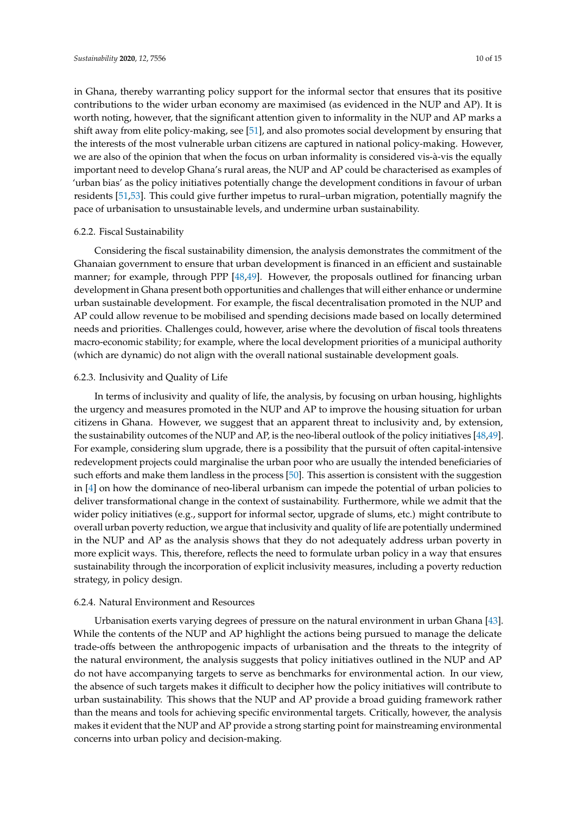in Ghana, thereby warranting policy support for the informal sector that ensures that its positive contributions to the wider urban economy are maximised (as evidenced in the NUP and AP). It is worth noting, however, that the significant attention given to informality in the NUP and AP marks a shift away from elite policy-making, see [\[51\]](#page-14-4), and also promotes social development by ensuring that the interests of the most vulnerable urban citizens are captured in national policy-making. However, we are also of the opinion that when the focus on urban informality is considered vis-à-vis the equally important need to develop Ghana's rural areas, the NUP and AP could be characterised as examples of 'urban bias' as the policy initiatives potentially change the development conditions in favour of urban residents [\[51,](#page-14-4)[53\]](#page-14-6). This could give further impetus to rural–urban migration, potentially magnify the pace of urbanisation to unsustainable levels, and undermine urban sustainability.

#### 6.2.2. Fiscal Sustainability

Considering the fiscal sustainability dimension, the analysis demonstrates the commitment of the Ghanaian government to ensure that urban development is financed in an efficient and sustainable manner; for example, through PPP [\[48](#page-14-1)[,49\]](#page-14-2). However, the proposals outlined for financing urban development in Ghana present both opportunities and challenges that will either enhance or undermine urban sustainable development. For example, the fiscal decentralisation promoted in the NUP and AP could allow revenue to be mobilised and spending decisions made based on locally determined needs and priorities. Challenges could, however, arise where the devolution of fiscal tools threatens macro-economic stability; for example, where the local development priorities of a municipal authority (which are dynamic) do not align with the overall national sustainable development goals.

#### 6.2.3. Inclusivity and Quality of Life

In terms of inclusivity and quality of life, the analysis, by focusing on urban housing, highlights the urgency and measures promoted in the NUP and AP to improve the housing situation for urban citizens in Ghana. However, we suggest that an apparent threat to inclusivity and, by extension, the sustainability outcomes of the NUP and AP, is the neo-liberal outlook of the policy initiatives [\[48](#page-14-1)[,49\]](#page-14-2). For example, considering slum upgrade, there is a possibility that the pursuit of often capital-intensive redevelopment projects could marginalise the urban poor who are usually the intended beneficiaries of such efforts and make them landless in the process [\[50\]](#page-14-3). This assertion is consistent with the suggestion in [\[4\]](#page-12-3) on how the dominance of neo-liberal urbanism can impede the potential of urban policies to deliver transformational change in the context of sustainability. Furthermore, while we admit that the wider policy initiatives (e.g., support for informal sector, upgrade of slums, etc.) might contribute to overall urban poverty reduction, we argue that inclusivity and quality of life are potentially undermined in the NUP and AP as the analysis shows that they do not adequately address urban poverty in more explicit ways. This, therefore, reflects the need to formulate urban policy in a way that ensures sustainability through the incorporation of explicit inclusivity measures, including a poverty reduction strategy, in policy design.

#### 6.2.4. Natural Environment and Resources

Urbanisation exerts varying degrees of pressure on the natural environment in urban Ghana [\[43\]](#page-13-15). While the contents of the NUP and AP highlight the actions being pursued to manage the delicate trade-offs between the anthropogenic impacts of urbanisation and the threats to the integrity of the natural environment, the analysis suggests that policy initiatives outlined in the NUP and AP do not have accompanying targets to serve as benchmarks for environmental action. In our view, the absence of such targets makes it difficult to decipher how the policy initiatives will contribute to urban sustainability. This shows that the NUP and AP provide a broad guiding framework rather than the means and tools for achieving specific environmental targets. Critically, however, the analysis makes it evident that the NUP and AP provide a strong starting point for mainstreaming environmental concerns into urban policy and decision-making.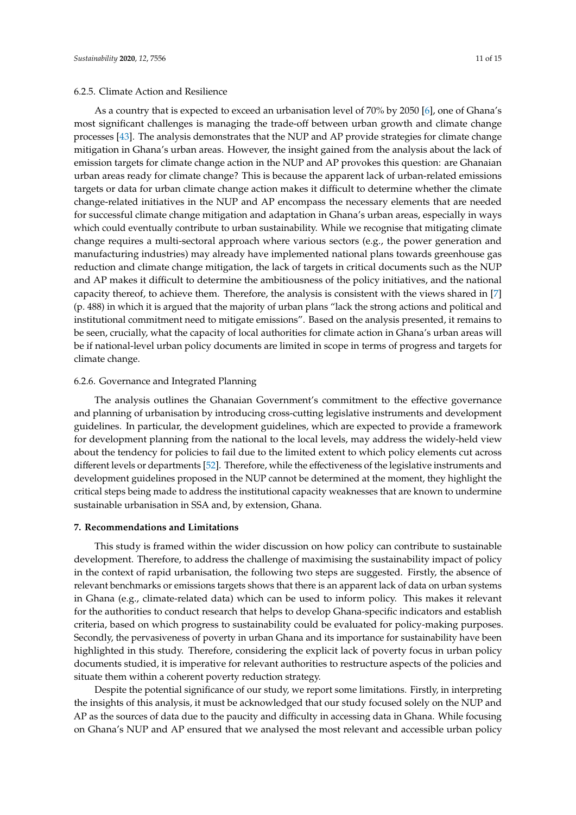## 6.2.5. Climate Action and Resilience

As a country that is expected to exceed an urbanisation level of 70% by 2050 [\[6\]](#page-12-5), one of Ghana's most significant challenges is managing the trade-off between urban growth and climate change processes [\[43\]](#page-13-15). The analysis demonstrates that the NUP and AP provide strategies for climate change mitigation in Ghana's urban areas. However, the insight gained from the analysis about the lack of emission targets for climate change action in the NUP and AP provokes this question: are Ghanaian urban areas ready for climate change? This is because the apparent lack of urban-related emissions targets or data for urban climate change action makes it difficult to determine whether the climate change-related initiatives in the NUP and AP encompass the necessary elements that are needed for successful climate change mitigation and adaptation in Ghana's urban areas, especially in ways which could eventually contribute to urban sustainability. While we recognise that mitigating climate change requires a multi-sectoral approach where various sectors (e.g., the power generation and manufacturing industries) may already have implemented national plans towards greenhouse gas reduction and climate change mitigation, the lack of targets in critical documents such as the NUP and AP makes it difficult to determine the ambitiousness of the policy initiatives, and the national capacity thereof, to achieve them. Therefore, the analysis is consistent with the views shared in [\[7\]](#page-12-6) (p. 488) in which it is argued that the majority of urban plans "lack the strong actions and political and institutional commitment need to mitigate emissions". Based on the analysis presented, it remains to be seen, crucially, what the capacity of local authorities for climate action in Ghana's urban areas will be if national-level urban policy documents are limited in scope in terms of progress and targets for climate change.

#### 6.2.6. Governance and Integrated Planning

The analysis outlines the Ghanaian Government's commitment to the effective governance and planning of urbanisation by introducing cross-cutting legislative instruments and development guidelines. In particular, the development guidelines, which are expected to provide a framework for development planning from the national to the local levels, may address the widely-held view about the tendency for policies to fail due to the limited extent to which policy elements cut across different levels or departments [\[52\]](#page-14-5). Therefore, while the effectiveness of the legislative instruments and development guidelines proposed in the NUP cannot be determined at the moment, they highlight the critical steps being made to address the institutional capacity weaknesses that are known to undermine sustainable urbanisation in SSA and, by extension, Ghana.

## **7. Recommendations and Limitations**

This study is framed within the wider discussion on how policy can contribute to sustainable development. Therefore, to address the challenge of maximising the sustainability impact of policy in the context of rapid urbanisation, the following two steps are suggested. Firstly, the absence of relevant benchmarks or emissions targets shows that there is an apparent lack of data on urban systems in Ghana (e.g., climate-related data) which can be used to inform policy. This makes it relevant for the authorities to conduct research that helps to develop Ghana-specific indicators and establish criteria, based on which progress to sustainability could be evaluated for policy-making purposes. Secondly, the pervasiveness of poverty in urban Ghana and its importance for sustainability have been highlighted in this study. Therefore, considering the explicit lack of poverty focus in urban policy documents studied, it is imperative for relevant authorities to restructure aspects of the policies and situate them within a coherent poverty reduction strategy.

Despite the potential significance of our study, we report some limitations. Firstly, in interpreting the insights of this analysis, it must be acknowledged that our study focused solely on the NUP and AP as the sources of data due to the paucity and difficulty in accessing data in Ghana. While focusing on Ghana's NUP and AP ensured that we analysed the most relevant and accessible urban policy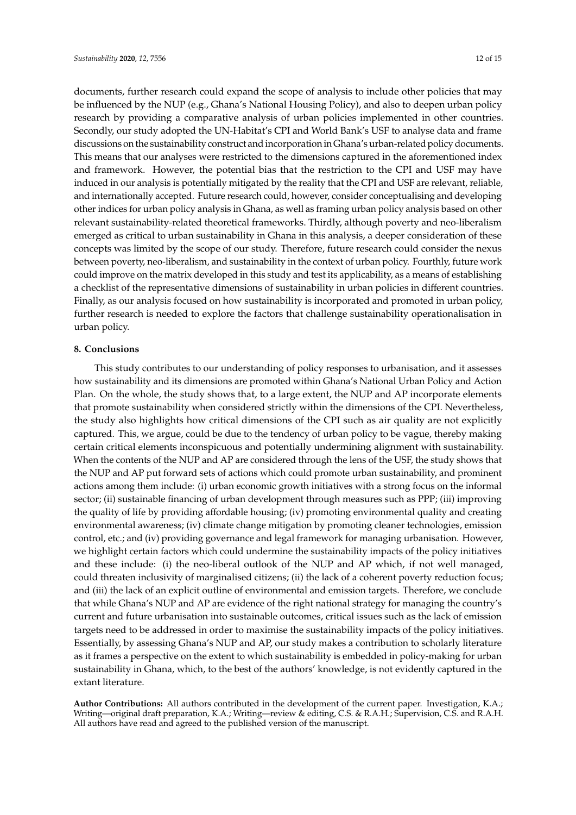documents, further research could expand the scope of analysis to include other policies that may be influenced by the NUP (e.g., Ghana's National Housing Policy), and also to deepen urban policy research by providing a comparative analysis of urban policies implemented in other countries. Secondly, our study adopted the UN-Habitat's CPI and World Bank's USF to analyse data and frame discussions on the sustainability construct and incorporation in Ghana's urban-related policy documents. This means that our analyses were restricted to the dimensions captured in the aforementioned index and framework. However, the potential bias that the restriction to the CPI and USF may have induced in our analysis is potentially mitigated by the reality that the CPI and USF are relevant, reliable, and internationally accepted. Future research could, however, consider conceptualising and developing other indices for urban policy analysis in Ghana, as well as framing urban policy analysis based on other relevant sustainability-related theoretical frameworks. Thirdly, although poverty and neo-liberalism emerged as critical to urban sustainability in Ghana in this analysis, a deeper consideration of these concepts was limited by the scope of our study. Therefore, future research could consider the nexus between poverty, neo-liberalism, and sustainability in the context of urban policy. Fourthly, future work could improve on the matrix developed in this study and test its applicability, as a means of establishing a checklist of the representative dimensions of sustainability in urban policies in different countries. Finally, as our analysis focused on how sustainability is incorporated and promoted in urban policy, further research is needed to explore the factors that challenge sustainability operationalisation in urban policy.

#### **8. Conclusions**

This study contributes to our understanding of policy responses to urbanisation, and it assesses how sustainability and its dimensions are promoted within Ghana's National Urban Policy and Action Plan. On the whole, the study shows that, to a large extent, the NUP and AP incorporate elements that promote sustainability when considered strictly within the dimensions of the CPI. Nevertheless, the study also highlights how critical dimensions of the CPI such as air quality are not explicitly captured. This, we argue, could be due to the tendency of urban policy to be vague, thereby making certain critical elements inconspicuous and potentially undermining alignment with sustainability. When the contents of the NUP and AP are considered through the lens of the USF, the study shows that the NUP and AP put forward sets of actions which could promote urban sustainability, and prominent actions among them include: (i) urban economic growth initiatives with a strong focus on the informal sector; (ii) sustainable financing of urban development through measures such as PPP; (iii) improving the quality of life by providing affordable housing; (iv) promoting environmental quality and creating environmental awareness; (iv) climate change mitigation by promoting cleaner technologies, emission control, etc.; and (iv) providing governance and legal framework for managing urbanisation. However, we highlight certain factors which could undermine the sustainability impacts of the policy initiatives and these include: (i) the neo-liberal outlook of the NUP and AP which, if not well managed, could threaten inclusivity of marginalised citizens; (ii) the lack of a coherent poverty reduction focus; and (iii) the lack of an explicit outline of environmental and emission targets. Therefore, we conclude that while Ghana's NUP and AP are evidence of the right national strategy for managing the country's current and future urbanisation into sustainable outcomes, critical issues such as the lack of emission targets need to be addressed in order to maximise the sustainability impacts of the policy initiatives. Essentially, by assessing Ghana's NUP and AP, our study makes a contribution to scholarly literature as it frames a perspective on the extent to which sustainability is embedded in policy-making for urban sustainability in Ghana, which, to the best of the authors' knowledge, is not evidently captured in the extant literature.

**Author Contributions:** All authors contributed in the development of the current paper. Investigation, K.A.; Writing—original draft preparation, K.A.; Writing—review & editing, C.S. & R.A.H.; Supervision, C.S. and R.A.H. All authors have read and agreed to the published version of the manuscript.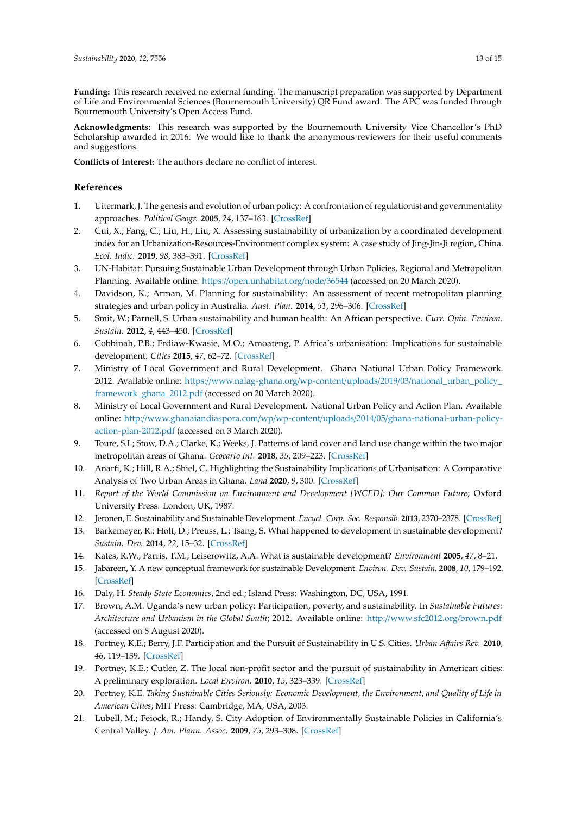**Funding:** This research received no external funding. The manuscript preparation was supported by Department of Life and Environmental Sciences (Bournemouth University) QR Fund award. The APC was funded through Bournemouth University's Open Access Fund.

**Acknowledgments:** This research was supported by the Bournemouth University Vice Chancellor's PhD Scholarship awarded in 2016. We would like to thank the anonymous reviewers for their useful comments and suggestions.

**Conflicts of Interest:** The authors declare no conflict of interest.

# **References**

- <span id="page-12-0"></span>1. Uitermark, J. The genesis and evolution of urban policy: A confrontation of regulationist and governmentality approaches. *Political Geogr.* **2005**, *24*, 137–163. [\[CrossRef\]](http://dx.doi.org/10.1016/j.polgeo.2004.07.009)
- <span id="page-12-1"></span>2. Cui, X.; Fang, C.; Liu, H.; Liu, X. Assessing sustainability of urbanization by a coordinated development index for an Urbanization-Resources-Environment complex system: A case study of Jing-Jin-Ji region, China. *Ecol. Indic.* **2019**, *98*, 383–391. [\[CrossRef\]](http://dx.doi.org/10.1016/j.ecolind.2018.09.009)
- <span id="page-12-2"></span>3. UN-Habitat: Pursuing Sustainable Urban Development through Urban Policies, Regional and Metropolitan Planning. Available online: https://[open.unhabitat.org](https://open.unhabitat.org/node/36544)/node/36544 (accessed on 20 March 2020).
- <span id="page-12-3"></span>4. Davidson, K.; Arman, M. Planning for sustainability: An assessment of recent metropolitan planning strategies and urban policy in Australia. *Aust. Plan.* **2014**, *51*, 296–306. [\[CrossRef\]](http://dx.doi.org/10.1080/07293682.2013.877508)
- <span id="page-12-4"></span>5. Smit, W.; Parnell, S. Urban sustainability and human health: An African perspective. *Curr. Opin. Environ. Sustain.* **2012**, *4*, 443–450. [\[CrossRef\]](http://dx.doi.org/10.1016/j.cosust.2012.07.004)
- <span id="page-12-5"></span>6. Cobbinah, P.B.; Erdiaw-Kwasie, M.O.; Amoateng, P. Africa's urbanisation: Implications for sustainable development. *Cities* **2015**, *47*, 62–72. [\[CrossRef\]](http://dx.doi.org/10.1016/j.cities.2015.03.013)
- <span id="page-12-6"></span>7. Ministry of Local Government and Rural Development. Ghana National Urban Policy Framework. 2012. Available online: https://www.nalag-ghana.org/wp-content/uploads/2019/03/[national\\_urban\\_policy\\_](https://www.nalag-ghana.org/wp-content/uploads/2019/03/national_urban_policy_framework_ghana_2012.pdf) [framework\\_ghana\\_2012.pdf](https://www.nalag-ghana.org/wp-content/uploads/2019/03/national_urban_policy_framework_ghana_2012.pdf) (accessed on 20 March 2020).
- <span id="page-12-7"></span>8. Ministry of Local Government and Rural Development. National Urban Policy and Action Plan. Available online: http://www.ghanaiandiaspora.com/wp/wp-content/uploads/2014/05/[ghana-national-urban-policy](http://www.ghanaiandiaspora.com/wp/wp-content/uploads/2014/05/ghana-national-urban-policy-action-plan-2012.pdf)[action-plan-2012.pdf](http://www.ghanaiandiaspora.com/wp/wp-content/uploads/2014/05/ghana-national-urban-policy-action-plan-2012.pdf) (accessed on 3 March 2020).
- <span id="page-12-8"></span>9. Toure, S.I.; Stow, D.A.; Clarke, K.; Weeks, J. Patterns of land cover and land use change within the two major metropolitan areas of Ghana. *Geocarto Int.* **2018**, *35*, 209–223. [\[CrossRef\]](http://dx.doi.org/10.1080/10106049.2018.1516244)
- <span id="page-12-9"></span>10. Anarfi, K.; Hill, R.A.; Shiel, C. Highlighting the Sustainability Implications of Urbanisation: A Comparative Analysis of Two Urban Areas in Ghana. *Land* **2020**, *9*, 300. [\[CrossRef\]](http://dx.doi.org/10.3390/land9090300)
- <span id="page-12-10"></span>11. *Report of the World Commission on Environment and Development [WCED]: Our Common Future*; Oxford University Press: London, UK, 1987.
- <span id="page-12-11"></span>12. Jeronen, E. Sustainability and Sustainable Development. *Encycl. Corp. Soc. Responsib.* **2013**, 2370–2378. [\[CrossRef\]](http://dx.doi.org/10.1007/978-3-642-28036-8_662)
- <span id="page-12-12"></span>13. Barkemeyer, R.; Holt, D.; Preuss, L.; Tsang, S. What happened to development in sustainable development? *Sustain. Dev.* **2014**, *22*, 15–32. [\[CrossRef\]](http://dx.doi.org/10.1002/sd.521)
- <span id="page-12-13"></span>14. Kates, R.W.; Parris, T.M.; Leiserowitz, A.A. What is sustainable development? *Environment* **2005**, *47*, 8–21.
- <span id="page-12-14"></span>15. Jabareen, Y. A new conceptual framework for sustainable Development. *Environ. Dev. Sustain.* **2008**, *10*, 179–192. [\[CrossRef\]](http://dx.doi.org/10.1007/s10668-006-9058-z)
- <span id="page-12-15"></span>16. Daly, H. *Steady State Economics*, 2nd ed.; Island Press: Washington, DC, USA, 1991.
- <span id="page-12-16"></span>17. Brown, A.M. Uganda's new urban policy: Participation, poverty, and sustainability. In *Sustainable Futures: Architecture and Urbanism in the Global South*; 2012. Available online: http://[www.sfc2012.org](http://www.sfc2012.org/brown.pdf)/brown.pdf (accessed on 8 August 2020).
- <span id="page-12-17"></span>18. Portney, K.E.; Berry, J.F. Participation and the Pursuit of Sustainability in U.S. Cities. *Urban A*ff*airs Rev.* **2010**, *46*, 119–139. [\[CrossRef\]](http://dx.doi.org/10.1177/1078087410366122)
- <span id="page-12-18"></span>19. Portney, K.E.; Cutler, Z. The local non-profit sector and the pursuit of sustainability in American cities: A preliminary exploration. *Local Environ.* **2010**, *15*, 323–339. [\[CrossRef\]](http://dx.doi.org/10.1080/13549831003677704)
- <span id="page-12-19"></span>20. Portney, K.E. *Taking Sustainable Cities Seriously: Economic Development, the Environment, and Quality of Life in American Cities*; MIT Press: Cambridge, MA, USA, 2003.
- <span id="page-12-20"></span>21. Lubell, M.; Feiock, R.; Handy, S. City Adoption of Environmentally Sustainable Policies in California's Central Valley. *J. Am. Plann. Assoc.* **2009**, *75*, 293–308. [\[CrossRef\]](http://dx.doi.org/10.1080/01944360902952295)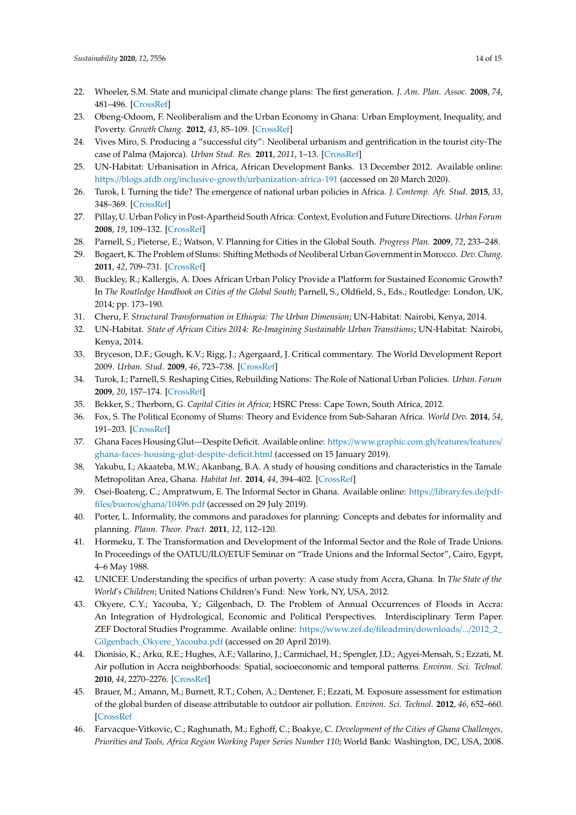- <span id="page-13-0"></span>22. Wheeler, S.M. State and municipal climate change plans: The first generation. *J. Am. Plan. Assoc.* **2008**, *74*, 481–496. [\[CrossRef\]](http://dx.doi.org/10.1080/01944360802377973)
- <span id="page-13-1"></span>23. Obeng-Odoom, F. Neoliberalism and the Urban Economy in Ghana: Urban Employment, Inequality, and Poverty. *Growth Chang.* **2012**, *43*, 85–109. [\[CrossRef\]](http://dx.doi.org/10.1111/j.1468-2257.2011.00578.x)
- <span id="page-13-2"></span>24. Vives Miro, S. Producing a "successful city": Neoliberal urbanism and gentrification in the tourist city-The case of Palma (Majorca). *Urban Stud. Res.* **2011**, *2011*, 1–13. [\[CrossRef\]](http://dx.doi.org/10.1155/2011/989676)
- <span id="page-13-3"></span>25. UN-Habitat: Urbanisation in Africa, African Development Banks. 13 December 2012. Available online: https://blogs.afdb.org/inclusive-growth/[urbanization-africa-191](https://blogs.afdb.org/inclusive-growth/urbanization-africa-191) (accessed on 20 March 2020).
- <span id="page-13-4"></span>26. Turok, I. Turning the tide? The emergence of national urban policies in Africa. *J. Contemp. Afr. Stud.* **2015**, *33*, 348–369. [\[CrossRef\]](http://dx.doi.org/10.1080/02589001.2015.1107288)
- <span id="page-13-5"></span>27. Pillay, U. Urban Policy in Post-Apartheid South Africa: Context, Evolution and Future Directions. *Urban Forum* **2008**, *19*, 109–132. [\[CrossRef\]](http://dx.doi.org/10.1007/s12132-008-9038-5)
- <span id="page-13-6"></span>28. Parnell, S.; Pieterse, E.; Watson, V. Planning for Cities in the Global South. *Progress Plan.* **2009**, *72*, 233–248.
- 29. Bogaert, K. The Problem of Slums: Shifting Methods of Neoliberal Urban Government in Morocco. *Dev. Chang.* **2011**, *42*, 709–731. [\[CrossRef\]](http://dx.doi.org/10.1111/j.1467-7660.2011.01706.x)
- 30. Buckley, R.; Kallergis, A. Does African Urban Policy Provide a Platform for Sustained Economic Growth? In *The Routledge Handbook on Cities of the Global South*; Parnell, S., Oldfield, S., Eds.; Routledge: London, UK, 2014; pp. 173–190.
- 31. Cheru, F. *Structural Transformation in Ethiopia: The Urban Dimension*; UN-Habitat: Nairobi, Kenya, 2014.
- <span id="page-13-7"></span>32. UN-Habitat. *State of African Cities 2014: Re-Imagining Sustainable Urban Transitions*; UN-Habitat: Nairobi, Kenya, 2014.
- <span id="page-13-8"></span>33. Bryceson, D.F.; Gough, K.V.; Rigg, J.; Agergaard, J. Critical commentary. The World Development Report 2009. *Urban. Stud.* **2009**, *46*, 723–738. [\[CrossRef\]](http://dx.doi.org/10.1177/0042098009102371)
- 34. Turok, I.; Parnell, S. Reshaping Cities, Rebuilding Nations: The Role of National Urban Policies. *Urban. Forum* **2009**, *20*, 157–174. [\[CrossRef\]](http://dx.doi.org/10.1007/s12132-009-9060-2)
- 35. Bekker, S.; Therborn, G. *Capital Cities in Africa*; HSRC Press: Cape Town, South Africa, 2012.
- <span id="page-13-9"></span>36. Fox, S. The Political Economy of Slums: Theory and Evidence from Sub-Saharan Africa. *World Dev.* **2014**, *54*, 191–203. [\[CrossRef\]](http://dx.doi.org/10.1016/j.worlddev.2013.08.005)
- <span id="page-13-10"></span>37. Ghana Faces Housing Glut—Despite Deficit. Available online: https://[www.graphic.com.gh](https://www.graphic.com.gh/features/features/ghana-faces-housing-glut-despite-deficit.html)/features/features/ [ghana-faces-housing-glut-despite-deficit.html](https://www.graphic.com.gh/features/features/ghana-faces-housing-glut-despite-deficit.html) (accessed on 15 January 2019).
- <span id="page-13-11"></span>38. Yakubu, I.; Akaateba, M.W.; Akanbang, B.A. A study of housing conditions and characteristics in the Tamale Metropolitan Area, Ghana. *Habitat Int.* **2014**, *44*, 394–402. [\[CrossRef\]](http://dx.doi.org/10.1016/j.habitatint.2014.08.003)
- <span id="page-13-12"></span>39. Osei-Boateng, C.; Ampratwum, E. The Informal Sector in Ghana. Available online: https://[library.fes.de](https://library.fes.de/pdf-files/bueros/ghana/10496.pdf)/pdffiles/bueros/ghana/[10496.pdf](https://library.fes.de/pdf-files/bueros/ghana/10496.pdf) (accessed on 29 July 2019).
- 40. Porter, L. Informality, the commons and paradoxes for planning: Concepts and debates for informality and planning. *Plann. Theor. Pract.* **2011**, *12*, 112–120.
- <span id="page-13-13"></span>41. Hormeku, T. The Transformation and Development of the Informal Sector and the Role of Trade Unions. In Proceedings of the OATUU/ILO/ETUF Seminar on "Trade Unions and the Informal Sector", Cairo, Egypt, 4–6 May 1988.
- <span id="page-13-14"></span>42. UNICEF. Understanding the specifics of urban poverty: A case study from Accra, Ghana. In *The State of the World's Children*; United Nations Children's Fund: New York, NY, USA, 2012.
- <span id="page-13-15"></span>43. Okyere, C.Y.; Yacouba, Y.; Gilgenbach, D. The Problem of Annual Occurrences of Floods in Accra: An Integration of Hydrological, Economic and Political Perspectives. Interdisciplinary Term Paper. ZEF Doctoral Studies Programme. Available online: https://[www.zef.de](https://www.zef.de/fileadmin/downloads/.../2012_2_Gilgenbach_Okyere_Yacouba.pdf)/fileadmin/downloads/.../2012\_2\_ [Gilgenbach\\_Okyere\\_Yacouba.pdf](https://www.zef.de/fileadmin/downloads/.../2012_2_Gilgenbach_Okyere_Yacouba.pdf) (accessed on 20 April 2019).
- <span id="page-13-16"></span>44. Dionisio, K.; Arku, R.E.; Hughes, A.F.; Vallarino, J.; Carmichael, H.; Spengler, J.D.; Agyei-Mensah, S.; Ezzati, M. Air pollution in Accra neighborhoods: Spatial, socioeconomic and temporal patterns. *Environ. Sci. Technol.* **2010**, *44*, 2270–2276. [\[CrossRef\]](http://dx.doi.org/10.1021/es903276s)
- <span id="page-13-17"></span>45. Brauer, M.; Amann, M.; Burnett, R.T.; Cohen, A.; Dentener, F.; Ezzati, M. Exposure assessment for estimation of the global burden of disease attributable to outdoor air pollution. *Environ. Sci. Technol.* **2012**, *46*, 652–660. [\[CrossRef](http://dx.doi.org/10.1021/es2025752)
- <span id="page-13-18"></span>46. Farvacque-Vitkovic, C.; Raghunath, M.; Eghoff, C.; Boakye, C. *Development of the Cities of Ghana Challenges, Priorities and Tools, Africa Region Working Paper Series Number 110*; World Bank: Washington, DC, USA, 2008.